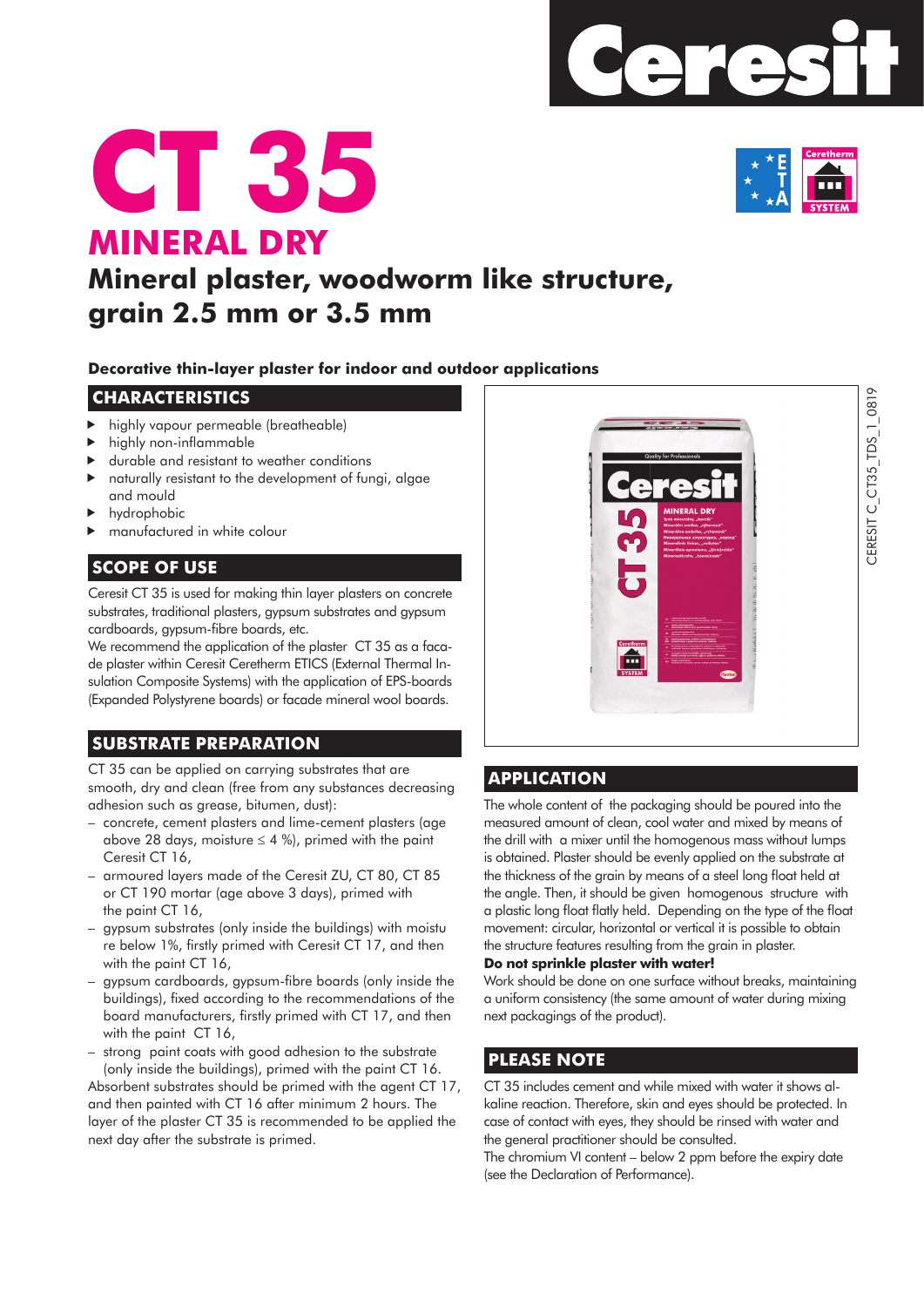





# **Mineral plaster, woodworm like structure, grain 2.5 mm or 3.5 mm**

#### **Decorative thin-layer plaster for indoor and outdoor applications**

#### **CHARACTERISTICS**

- highly vapour permeable (breatheable)
- highly non-inflammable
- durable and resistant to weather conditions
- naturally resistant to the development of fungi, algae and mould
- hydrophobic
- manufactured in white colour

# **SCOPE OF USE**

Ceresit CT 35 is used for making thin layer plasters on concrete substrates, traditional plasters, gypsum substrates and gypsum cardboards, gypsum-fibre boards, etc.

We recommend the application of the plaster CT 35 as a facade plaster within Ceresit Ceretherm ETICS (External Thermal Insulation Composite Systems) with the application of EPS-boards (Expanded Polystyrene boards) or facade mineral wool boards.

# **SUBSTRATE PREPARATION**

CT 35 can be applied on carrying substrates that are smooth, dry and clean (free from any substances decreasing adhesion such as grease, bitumen, dust):

- concrete, cement plasters and lime-cement plasters (age above 28 days, moisture  $\leq 4$  %), primed with the paint Ceresit CT 16,
- armoured layers made of the Ceresit ZU, CT 80, CT 85 or CT 190 mortar (age above 3 days), primed with the paint CT 16,
- gypsum substrates (only inside the buildings) with moistu re below 1%, firstly primed with Ceresit CT 17, and then with the paint CT 16.
- gypsum cardboards, gypsum-fibre boards (only inside the buildings), fixed according to the recommendations of the board manufacturers, firstly primed with CT 17, and then with the paint CT 16,
- strong paint coats with good adhesion to the substrate (only inside the buildings), primed with the paint CT 16.

Absorbent substrates should be primed with the agent CT 17, and then painted with CT 16 after minimum 2 hours. The layer of the plaster CT 35 is recommended to be applied the next day after the substrate is primed.



### **APPLICATION**

The whole content of the packaging should be poured into the measured amount of clean, cool water and mixed by means of the drill with a mixer until the homogenous mass without lumps is obtained. Plaster should be evenly applied on the substrate at the thickness of the grain by means of a steel long float held at the angle. Then, it should be given homogenous structure with a plastic long float flatly held. Depending on the type of the float movement: circular, horizontal or vertical it is possible to obtain the structure features resulting from the grain in plaster.

#### **Do not sprinkle plaster with water!**

Work should be done on one surface without breaks, maintaining a uniform consistency (the same amount of water during mixing next packagings of the product).

# **PLEASE NOTE**

CT 35 includes cement and while mixed with water it shows alkaline reaction. Therefore, skin and eyes should be protected. In case of contact with eyes, they should be rinsed with water and the general practitioner should be consulted.

The chromium VI content – below 2 ppm before the expiry date (see the Declaration of Performance).